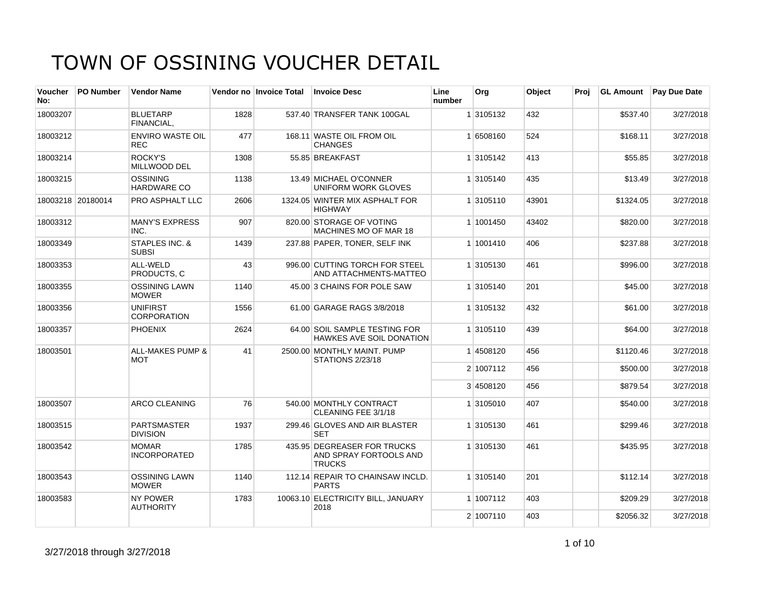| <b>Voucher</b><br>No: | <b>PO Number</b>  | <b>Vendor Name</b>                        |      | Vendor no Invoice Total | <b>Invoice Desc</b>                                                    | Line<br>number | Org       | Object | Proj | <b>GL Amount</b> | <b>Pay Due Date</b> |
|-----------------------|-------------------|-------------------------------------------|------|-------------------------|------------------------------------------------------------------------|----------------|-----------|--------|------|------------------|---------------------|
| 18003207              |                   | <b>BLUETARP</b><br>FINANCIAL.             | 1828 |                         | 537.40 TRANSFER TANK 100GAL                                            |                | 1 3105132 | 432    |      | \$537.40         | 3/27/2018           |
| 18003212              |                   | <b>ENVIRO WASTE OIL</b><br><b>REC</b>     | 477  |                         | 168.11 WASTE OIL FROM OIL<br><b>CHANGES</b>                            |                | 1 6508160 | 524    |      | \$168.11         | 3/27/2018           |
| 18003214              |                   | ROCKY'S<br>MILLWOOD DEL                   | 1308 |                         | 55.85 BREAKFAST                                                        |                | 1 3105142 | 413    |      | \$55.85          | 3/27/2018           |
| 18003215              |                   | <b>OSSINING</b><br>HARDWARE CO            | 1138 |                         | 13.49 MICHAEL O'CONNER<br>UNIFORM WORK GLOVES                          |                | 1 3105140 | 435    |      | \$13.49          | 3/27/2018           |
|                       | 18003218 20180014 | PRO ASPHALT LLC                           | 2606 |                         | 1324.05 WINTER MIX ASPHALT FOR<br><b>HIGHWAY</b>                       |                | 1 3105110 | 43901  |      | \$1324.05        | 3/27/2018           |
| 18003312              |                   | <b>MANY'S EXPRESS</b><br>INC.             | 907  |                         | 820.00 STORAGE OF VOTING<br>MACHINES MO OF MAR 18                      |                | 1 1001450 | 43402  |      | \$820.00         | 3/27/2018           |
| 18003349              |                   | <b>STAPLES INC. &amp;</b><br><b>SUBSI</b> | 1439 |                         | 237.88 PAPER, TONER, SELF INK                                          |                | 1 1001410 | 406    |      | \$237.88         | 3/27/2018           |
| 18003353              |                   | ALL-WELD<br>PRODUCTS, C                   | 43   |                         | 996.00 CUTTING TORCH FOR STEEL<br>AND ATTACHMENTS-MATTEO               |                | 1 3105130 | 461    |      | \$996.00         | 3/27/2018           |
| 18003355              |                   | <b>OSSINING LAWN</b><br><b>MOWER</b>      | 1140 |                         | 45.00 3 CHAINS FOR POLE SAW                                            |                | 1 3105140 | 201    |      | \$45.00          | 3/27/2018           |
| 18003356              |                   | <b>UNIFIRST</b><br><b>CORPORATION</b>     | 1556 |                         | 61.00 GARAGE RAGS 3/8/2018                                             |                | 1 3105132 | 432    |      | \$61.00          | 3/27/2018           |
| 18003357              |                   | <b>PHOENIX</b>                            | 2624 |                         | 64.00 SOIL SAMPLE TESTING FOR<br><b>HAWKES AVE SOIL DONATION</b>       |                | 1 3105110 | 439    |      | \$64.00          | 3/27/2018           |
| 18003501              |                   | <b>ALL-MAKES PUMP &amp;</b><br><b>MOT</b> | 41   |                         | 2500.00 MONTHLY MAINT, PUMP<br>STATIONS 2/23/18                        |                | 14508120  | 456    |      | \$1120.46        | 3/27/2018           |
|                       |                   |                                           |      |                         |                                                                        |                | 2 1007112 | 456    |      | \$500.00         | 3/27/2018           |
|                       |                   |                                           |      |                         |                                                                        |                | 3 4508120 | 456    |      | \$879.54         | 3/27/2018           |
| 18003507              |                   | ARCO CLEANING                             | 76   |                         | 540.00 MONTHLY CONTRACT<br>CLEANING FEE 3/1/18                         |                | 1 3105010 | 407    |      | \$540.00         | 3/27/2018           |
| 18003515              |                   | <b>PARTSMASTER</b><br><b>DIVISION</b>     | 1937 |                         | 299.46 GLOVES AND AIR BLASTER<br><b>SET</b>                            |                | 1 3105130 | 461    |      | \$299.46         | 3/27/2018           |
| 18003542              |                   | <b>MOMAR</b><br><b>INCORPORATED</b>       | 1785 |                         | 435.95 DEGREASER FOR TRUCKS<br>AND SPRAY FORTOOLS AND<br><b>TRUCKS</b> |                | 1 3105130 | 461    |      | \$435.95         | 3/27/2018           |
| 18003543              |                   | <b>OSSINING LAWN</b><br><b>MOWER</b>      | 1140 |                         | 112.14 REPAIR TO CHAINSAW INCLD.<br><b>PARTS</b>                       |                | 1 3105140 | 201    |      | \$112.14         | 3/27/2018           |
| 18003583              |                   | <b>NY POWER</b><br><b>AUTHORITY</b>       | 1783 |                         | 10063.10 ELECTRICITY BILL, JANUARY<br>2018                             |                | 1 1007112 | 403    |      | \$209.29         | 3/27/2018           |
|                       |                   |                                           |      |                         |                                                                        |                | 2 1007110 | 403    |      | \$2056.32        | 3/27/2018           |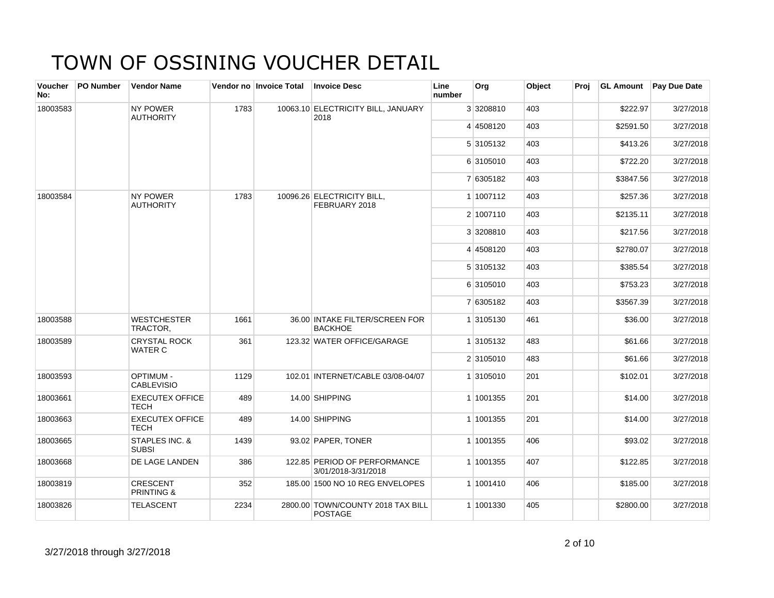| Voucher<br>No: | <b>PO Number</b> | <b>Vendor Name</b>                       |      | Vendor no Invoice Total | <b>Invoice Desc</b>                                 | Line<br>number | Org       | Object | Proj |           | <b>GL Amount</b> Pay Due Date |
|----------------|------------------|------------------------------------------|------|-------------------------|-----------------------------------------------------|----------------|-----------|--------|------|-----------|-------------------------------|
| 18003583       |                  | <b>NY POWER</b><br><b>AUTHORITY</b>      | 1783 |                         | 10063.10 ELECTRICITY BILL, JANUARY<br>2018          |                | 3 3208810 | 403    |      | \$222.97  | 3/27/2018                     |
|                |                  |                                          |      |                         |                                                     |                | 4 4508120 | 403    |      | \$2591.50 | 3/27/2018                     |
|                |                  |                                          |      |                         |                                                     |                | 5 3105132 | 403    |      | \$413.26  | 3/27/2018                     |
|                |                  |                                          |      |                         |                                                     |                | 6 3105010 | 403    |      | \$722.20  | 3/27/2018                     |
|                |                  |                                          |      |                         |                                                     |                | 7 6305182 | 403    |      | \$3847.56 | 3/27/2018                     |
| 18003584       |                  | <b>NY POWER</b><br><b>AUTHORITY</b>      | 1783 |                         | 10096.26 ELECTRICITY BILL,<br>FEBRUARY 2018         |                | 1 1007112 | 403    |      | \$257.36  | 3/27/2018                     |
|                |                  |                                          |      |                         |                                                     |                | 2 1007110 | 403    |      | \$2135.11 | 3/27/2018                     |
|                |                  |                                          |      |                         |                                                     |                | 3 3208810 | 403    |      | \$217.56  | 3/27/2018                     |
|                |                  |                                          |      |                         |                                                     |                | 4 4508120 | 403    |      | \$2780.07 | 3/27/2018                     |
|                |                  |                                          |      |                         |                                                     |                | 5 3105132 | 403    |      | \$385.54  | 3/27/2018                     |
|                |                  |                                          |      |                         |                                                     |                | 6 3105010 | 403    |      | \$753.23  | 3/27/2018                     |
|                |                  |                                          |      |                         |                                                     |                | 7 6305182 | 403    |      | \$3567.39 | 3/27/2018                     |
| 18003588       |                  | <b>WESTCHESTER</b><br>TRACTOR,           | 1661 |                         | 36.00 INTAKE FILTER/SCREEN FOR<br><b>BACKHOE</b>    |                | 1 3105130 | 461    |      | \$36.00   | 3/27/2018                     |
| 18003589       |                  | <b>CRYSTAL ROCK</b><br><b>WATER C</b>    | 361  |                         | 123.32 WATER OFFICE/GARAGE                          |                | 1 3105132 | 483    |      | \$61.66   | 3/27/2018                     |
|                |                  |                                          |      |                         |                                                     |                | 2 3105010 | 483    |      | \$61.66   | 3/27/2018                     |
| 18003593       |                  | <b>OPTIMUM -</b><br><b>CABLEVISIO</b>    | 1129 |                         | 102.01 INTERNET/CABLE 03/08-04/07                   |                | 1 3105010 | 201    |      | \$102.01  | 3/27/2018                     |
| 18003661       |                  | <b>EXECUTEX OFFICE</b><br><b>TECH</b>    | 489  |                         | 14.00 SHIPPING                                      |                | 1 1001355 | 201    |      | \$14.00   | 3/27/2018                     |
| 18003663       |                  | <b>EXECUTEX OFFICE</b><br><b>TECH</b>    | 489  |                         | 14.00 SHIPPING                                      |                | 1 1001355 | 201    |      | \$14.00   | 3/27/2018                     |
| 18003665       |                  | STAPLES INC. &<br><b>SUBSI</b>           | 1439 |                         | 93.02 PAPER, TONER                                  |                | 1 1001355 | 406    |      | \$93.02   | 3/27/2018                     |
| 18003668       |                  | DE LAGE LANDEN                           | 386  |                         | 122.85 PERIOD OF PERFORMANCE<br>3/01/2018-3/31/2018 |                | 1 1001355 | 407    |      | \$122.85  | 3/27/2018                     |
| 18003819       |                  | <b>CRESCENT</b><br><b>PRINTING &amp;</b> | 352  |                         | 185,00 1500 NO 10 REG ENVELOPES                     |                | 1 1001410 | 406    |      | \$185.00  | 3/27/2018                     |
| 18003826       |                  | <b>TELASCENT</b>                         | 2234 |                         | 2800.00 TOWN/COUNTY 2018 TAX BILL<br><b>POSTAGE</b> |                | 1 1001330 | 405    |      | \$2800.00 | 3/27/2018                     |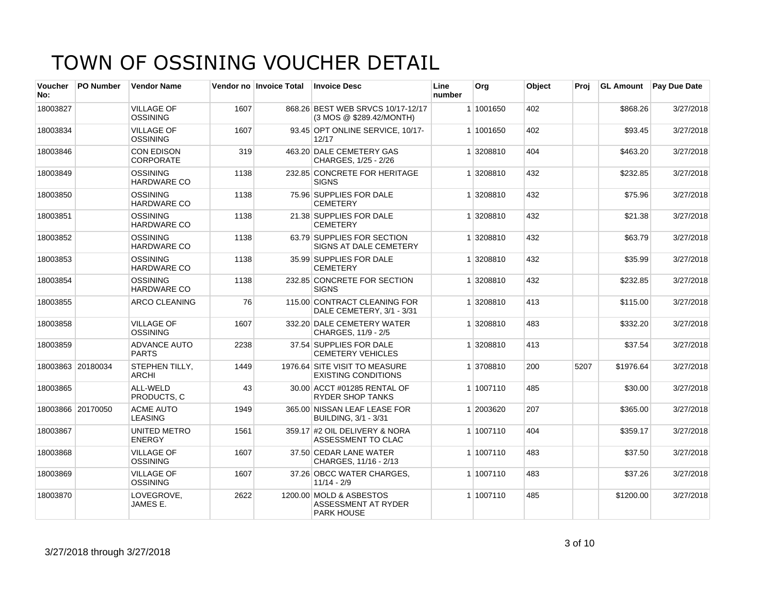| <b>Voucher</b><br>No: | <b>PO Number</b>  | <b>Vendor Name</b>                    |      | Vendor no Invoice Total | <b>Invoice Desc</b>                                                 | Line<br>number | Org       | Object | Proj | <b>GL Amount</b> | <b>Pay Due Date</b> |
|-----------------------|-------------------|---------------------------------------|------|-------------------------|---------------------------------------------------------------------|----------------|-----------|--------|------|------------------|---------------------|
| 18003827              |                   | <b>VILLAGE OF</b><br><b>OSSINING</b>  | 1607 |                         | 868.26 BEST WEB SRVCS 10/17-12/17<br>(3 MOS @ \$289.42/MONTH)       |                | 1 1001650 | 402    |      | \$868.26         | 3/27/2018           |
| 18003834              |                   | <b>VILLAGE OF</b><br><b>OSSINING</b>  | 1607 |                         | 93.45 OPT ONLINE SERVICE, 10/17-<br>12/17                           |                | 1 1001650 | 402    |      | \$93.45          | 3/27/2018           |
| 18003846              |                   | <b>CON EDISON</b><br><b>CORPORATE</b> | 319  |                         | 463.20 DALE CEMETERY GAS<br>CHARGES, 1/25 - 2/26                    |                | 1 3208810 | 404    |      | \$463.20         | 3/27/2018           |
| 18003849              |                   | <b>OSSINING</b><br><b>HARDWARE CO</b> | 1138 |                         | 232.85 CONCRETE FOR HERITAGE<br><b>SIGNS</b>                        |                | 1 3208810 | 432    |      | \$232.85         | 3/27/2018           |
| 18003850              |                   | <b>OSSINING</b><br><b>HARDWARE CO</b> | 1138 |                         | 75.96 SUPPLIES FOR DALE<br><b>CEMETERY</b>                          |                | 1 3208810 | 432    |      | \$75.96          | 3/27/2018           |
| 18003851              |                   | <b>OSSINING</b><br><b>HARDWARE CO</b> | 1138 |                         | 21.38 SUPPLIES FOR DALE<br><b>CEMETERY</b>                          |                | 1 3208810 | 432    |      | \$21.38          | 3/27/2018           |
| 18003852              |                   | <b>OSSINING</b><br>HARDWARE CO        | 1138 |                         | 63.79 SUPPLIES FOR SECTION<br>SIGNS AT DALE CEMETERY                |                | 1 3208810 | 432    |      | \$63.79          | 3/27/2018           |
| 18003853              |                   | <b>OSSINING</b><br>HARDWARE CO        | 1138 |                         | 35.99 SUPPLIES FOR DALE<br><b>CEMETERY</b>                          |                | 1 3208810 | 432    |      | \$35.99          | 3/27/2018           |
| 18003854              |                   | <b>OSSINING</b><br>HARDWARE CO        | 1138 |                         | 232.85 CONCRETE FOR SECTION<br><b>SIGNS</b>                         |                | 1 3208810 | 432    |      | \$232.85         | 3/27/2018           |
| 18003855              |                   | ARCO CLEANING                         | 76   |                         | 115.00 CONTRACT CLEANING FOR<br>DALE CEMETERY, 3/1 - 3/31           |                | 1 3208810 | 413    |      | \$115.00         | 3/27/2018           |
| 18003858              |                   | <b>VILLAGE OF</b><br><b>OSSINING</b>  | 1607 |                         | 332.20 DALE CEMETERY WATER<br>CHARGES, 11/9 - 2/5                   |                | 1 3208810 | 483    |      | \$332.20         | 3/27/2018           |
| 18003859              |                   | <b>ADVANCE AUTO</b><br><b>PARTS</b>   | 2238 |                         | 37.54 SUPPLIES FOR DALE<br><b>CEMETERY VEHICLES</b>                 |                | 1 3208810 | 413    |      | \$37.54          | 3/27/2018           |
|                       | 18003863 20180034 | STEPHEN TILLY,<br><b>ARCHI</b>        | 1449 |                         | 1976.64 SITE VISIT TO MEASURE<br><b>EXISTING CONDITIONS</b>         |                | 1 3708810 | 200    | 5207 | \$1976.64        | 3/27/2018           |
| 18003865              |                   | ALL-WELD<br>PRODUCTS. C               | 43   |                         | 30.00 ACCT #01285 RENTAL OF<br><b>RYDER SHOP TANKS</b>              |                | 1 1007110 | 485    |      | \$30.00          | 3/27/2018           |
|                       | 18003866 20170050 | <b>ACME AUTO</b><br><b>LEASING</b>    | 1949 |                         | 365.00 NISSAN LEAF LEASE FOR<br><b>BUILDING, 3/1 - 3/31</b>         |                | 1 2003620 | 207    |      | \$365.00         | 3/27/2018           |
| 18003867              |                   | <b>UNITED METRO</b><br><b>ENERGY</b>  | 1561 |                         | 359.17 #2 OIL DELIVERY & NORA<br>ASSESSMENT TO CLAC                 |                | 1 1007110 | 404    |      | \$359.17         | 3/27/2018           |
| 18003868              |                   | <b>VILLAGE OF</b><br><b>OSSINING</b>  | 1607 |                         | 37.50 CEDAR LANE WATER<br>CHARGES, 11/16 - 2/13                     |                | 1 1007110 | 483    |      | \$37.50          | 3/27/2018           |
| 18003869              |                   | <b>VILLAGE OF</b><br><b>OSSINING</b>  | 1607 |                         | 37.26 OBCC WATER CHARGES,<br>$11/14 - 2/9$                          |                | 1 1007110 | 483    |      | \$37.26          | 3/27/2018           |
| 18003870              |                   | LOVEGROVE.<br>JAMES E.                | 2622 |                         | 1200.00 MOLD & ASBESTOS<br>ASSESSMENT AT RYDER<br><b>PARK HOUSE</b> |                | 1 1007110 | 485    |      | \$1200.00        | 3/27/2018           |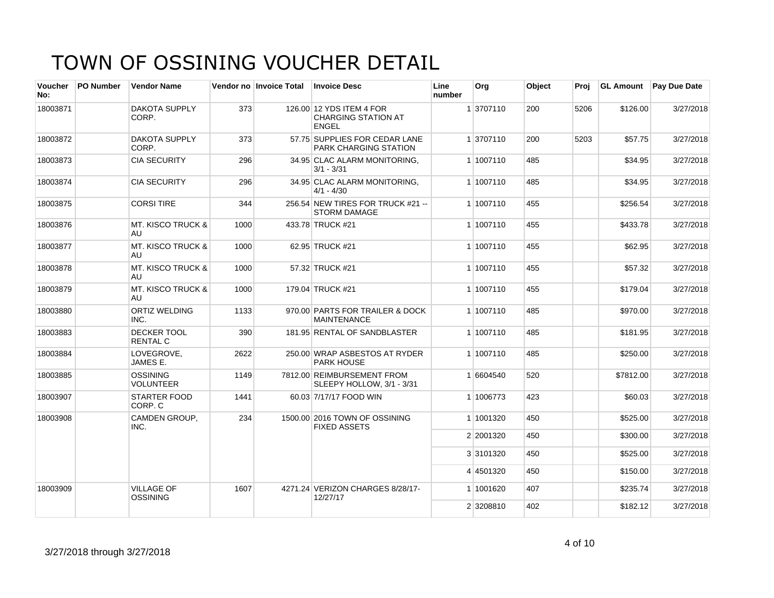| <b>Voucher</b><br>No: | <b>PO Number</b> | <b>Vendor Name</b>                   |      | Vendor no Invoice Total | <b>Invoice Desc</b>                                                    | Line<br>number | Org       | Object | Proi | <b>GL Amount</b> | <b>Pay Due Date</b> |
|-----------------------|------------------|--------------------------------------|------|-------------------------|------------------------------------------------------------------------|----------------|-----------|--------|------|------------------|---------------------|
| 18003871              |                  | <b>DAKOTA SUPPLY</b><br>CORP.        | 373  |                         | 126.00 12 YDS ITEM 4 FOR<br><b>CHARGING STATION AT</b><br><b>ENGEL</b> |                | 1 3707110 | 200    | 5206 | \$126.00         | 3/27/2018           |
| 18003872              |                  | <b>DAKOTA SUPPLY</b><br>CORP.        | 373  |                         | 57.75 SUPPLIES FOR CEDAR LANE<br><b>PARK CHARGING STATION</b>          |                | 1 3707110 | 200    | 5203 | \$57.75          | 3/27/2018           |
| 18003873              |                  | <b>CIA SECURITY</b>                  | 296  |                         | 34.95 CLAC ALARM MONITORING.<br>$3/1 - 3/31$                           |                | 1 1007110 | 485    |      | \$34.95          | 3/27/2018           |
| 18003874              |                  | <b>CIA SECURITY</b>                  | 296  |                         | 34.95 CLAC ALARM MONITORING,<br>$4/1 - 4/30$                           |                | 1 1007110 | 485    |      | \$34.95          | 3/27/2018           |
| 18003875              |                  | <b>CORSI TIRE</b>                    | 344  |                         | 256.54 NEW TIRES FOR TRUCK #21 --<br><b>STORM DAMAGE</b>               |                | 1 1007110 | 455    |      | \$256.54         | 3/27/2018           |
| 18003876              |                  | <b>MT. KISCO TRUCK &amp;</b><br>AU   | 1000 |                         | 433.78 TRUCK #21                                                       |                | 1 1007110 | 455    |      | \$433.78         | 3/27/2018           |
| 18003877              |                  | <b>MT. KISCO TRUCK &amp;</b><br>AU   | 1000 |                         | 62.95 TRUCK #21                                                        |                | 1 1007110 | 455    |      | \$62.95          | 3/27/2018           |
| 18003878              |                  | MT. KISCO TRUCK &<br>AU              | 1000 |                         | 57.32 TRUCK #21                                                        |                | 1 1007110 | 455    |      | \$57.32          | 3/27/2018           |
| 18003879              |                  | <b>MT. KISCO TRUCK &amp;</b><br>AU.  | 1000 |                         | 179.04 TRUCK #21                                                       |                | 1 1007110 | 455    |      | \$179.04         | 3/27/2018           |
| 18003880              |                  | <b>ORTIZ WELDING</b><br>INC.         | 1133 |                         | 970.00 PARTS FOR TRAILER & DOCK<br><b>MAINTENANCE</b>                  |                | 1 1007110 | 485    |      | \$970.00         | 3/27/2018           |
| 18003883              |                  | DECKER TOOL<br><b>RENTAL C</b>       | 390  |                         | 181.95 RENTAL OF SANDBLASTER                                           |                | 1 1007110 | 485    |      | \$181.95         | 3/27/2018           |
| 18003884              |                  | LOVEGROVE,<br>JAMES E.               | 2622 |                         | 250.00 WRAP ASBESTOS AT RYDER<br><b>PARK HOUSE</b>                     |                | 1 1007110 | 485    |      | \$250.00         | 3/27/2018           |
| 18003885              |                  | <b>OSSINING</b><br><b>VOLUNTEER</b>  | 1149 |                         | 7812.00 REIMBURSEMENT FROM<br>SLEEPY HOLLOW, 3/1 - 3/31                |                | 1 6604540 | 520    |      | \$7812.00        | 3/27/2018           |
| 18003907              |                  | STARTER FOOD<br>CORP. C              | 1441 |                         | 60.03 7/17/17 FOOD WIN                                                 |                | 1 1006773 | 423    |      | \$60.03          | 3/27/2018           |
| 18003908              |                  | <b>CAMDEN GROUP,</b><br>INC.         | 234  |                         | 1500.00 2016 TOWN OF OSSINING<br><b>FIXED ASSETS</b>                   |                | 1 1001320 | 450    |      | \$525.00         | 3/27/2018           |
|                       |                  |                                      |      |                         |                                                                        |                | 2 2001320 | 450    |      | \$300.00         | 3/27/2018           |
|                       |                  |                                      |      |                         |                                                                        |                | 3 3101320 | 450    |      | \$525.00         | 3/27/2018           |
|                       |                  |                                      |      |                         |                                                                        |                | 4 4501320 | 450    |      | \$150.00         | 3/27/2018           |
| 18003909              |                  | <b>VILLAGE OF</b><br><b>OSSINING</b> | 1607 |                         | 4271.24 VERIZON CHARGES 8/28/17-<br>12/27/17                           |                | 1 1001620 | 407    |      | \$235.74         | 3/27/2018           |
|                       |                  |                                      |      |                         |                                                                        |                | 2 3208810 | 402    |      | \$182.12         | 3/27/2018           |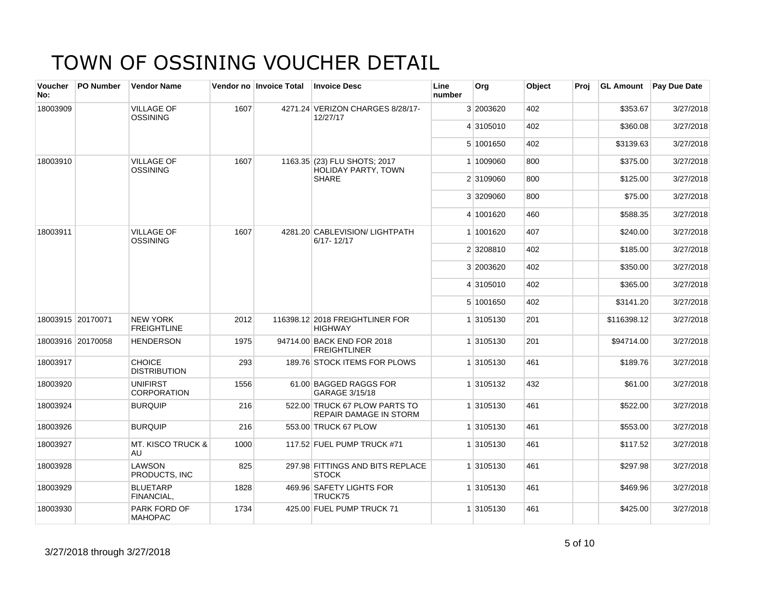| <b>Voucher</b><br>No: | <b>PO Number</b>  | <b>Vendor Name</b>                    |      | Vendor no Invoice Total | <b>Invoice Desc</b>                                     | Line<br>number | Org       | Object | Proj | <b>GL Amount</b> | Pay Due Date |
|-----------------------|-------------------|---------------------------------------|------|-------------------------|---------------------------------------------------------|----------------|-----------|--------|------|------------------|--------------|
| 18003909              |                   | <b>VILLAGE OF</b><br>OSSINING         | 1607 |                         | 4271.24 VERIZON CHARGES 8/28/17-<br>12/27/17            |                | 3 2003620 | 402    |      | \$353.67         | 3/27/2018    |
|                       |                   |                                       |      |                         |                                                         |                | 4 3105010 | 402    |      | \$360.08         | 3/27/2018    |
|                       |                   |                                       |      |                         |                                                         |                | 5 1001650 | 402    |      | \$3139.63        | 3/27/2018    |
| 18003910              |                   | <b>VILLAGE OF</b><br>OSSINING         | 1607 |                         | 1163.35 (23) FLU SHOTS: 2017<br>HOLIDAY PARTY, TOWN     |                | 1 1009060 | 800    |      | \$375.00         | 3/27/2018    |
|                       |                   |                                       |      |                         | <b>SHARE</b>                                            |                | 2 3109060 | 800    |      | \$125.00         | 3/27/2018    |
|                       |                   |                                       |      |                         |                                                         |                | 3 3209060 | 800    |      | \$75.00          | 3/27/2018    |
|                       |                   |                                       |      |                         |                                                         |                | 4 1001620 | 460    |      | \$588.35         | 3/27/2018    |
| 18003911              |                   | <b>VILLAGE OF</b><br><b>OSSINING</b>  | 1607 |                         | 4281.20 CABLEVISION/ LIGHTPATH<br>6/17-12/17            |                | 1 1001620 | 407    |      | \$240.00         | 3/27/2018    |
|                       |                   |                                       |      |                         |                                                         |                | 2 3208810 | 402    |      | \$185.00         | 3/27/2018    |
|                       |                   |                                       |      |                         |                                                         |                | 3 2003620 | 402    |      | \$350.00         | 3/27/2018    |
|                       |                   |                                       |      |                         |                                                         |                | 4 3105010 | 402    |      | \$365.00         | 3/27/2018    |
|                       |                   |                                       |      |                         |                                                         |                | 5 1001650 | 402    |      | \$3141.20        | 3/27/2018    |
|                       | 18003915 20170071 | <b>NEW YORK</b><br><b>FREIGHTLINE</b> | 2012 |                         | 116398.12 2018 FREIGHTLINER FOR<br><b>HIGHWAY</b>       |                | 1 3105130 | 201    |      | \$116398.12      | 3/27/2018    |
|                       | 18003916 20170058 | <b>HENDERSON</b>                      | 1975 |                         | 94714.00 BACK END FOR 2018<br><b>FREIGHTLINER</b>       |                | 1 3105130 | 201    |      | \$94714.00       | 3/27/2018    |
| 18003917              |                   | <b>CHOICE</b><br><b>DISTRIBUTION</b>  | 293  |                         | 189.76 STOCK ITEMS FOR PLOWS                            |                | 1 3105130 | 461    |      | \$189.76         | 3/27/2018    |
| 18003920              |                   | <b>UNIFIRST</b><br><b>CORPORATION</b> | 1556 |                         | 61.00 BAGGED RAGGS FOR<br>GARAGE 3/15/18                |                | 1 3105132 | 432    |      | \$61.00          | 3/27/2018    |
| 18003924              |                   | <b>BURQUIP</b>                        | 216  |                         | 522.00 TRUCK 67 PLOW PARTS TO<br>REPAIR DAMAGE IN STORM |                | 1 3105130 | 461    |      | \$522.00         | 3/27/2018    |
| 18003926              |                   | <b>BURQUIP</b>                        | 216  |                         | 553.00 TRUCK 67 PLOW                                    |                | 1 3105130 | 461    |      | \$553.00         | 3/27/2018    |
| 18003927              |                   | <b>MT. KISCO TRUCK &amp;</b><br>AU    | 1000 |                         | 117.52 FUEL PUMP TRUCK #71                              |                | 1 3105130 | 461    |      | \$117.52         | 3/27/2018    |
| 18003928              |                   | LAWSON<br>PRODUCTS. INC               | 825  |                         | 297.98 FITTINGS AND BITS REPLACE<br><b>STOCK</b>        |                | 1 3105130 | 461    |      | \$297.98         | 3/27/2018    |
| 18003929              |                   | <b>BLUETARP</b><br><b>FINANCIAL,</b>  | 1828 |                         | 469.96 SAFETY LIGHTS FOR<br>TRUCK75                     |                | 1 3105130 | 461    |      | \$469.96         | 3/27/2018    |
| 18003930              |                   | PARK FORD OF<br><b>MAHOPAC</b>        | 1734 |                         | 425.00 FUEL PUMP TRUCK 71                               |                | 1 3105130 | 461    |      | \$425.00         | 3/27/2018    |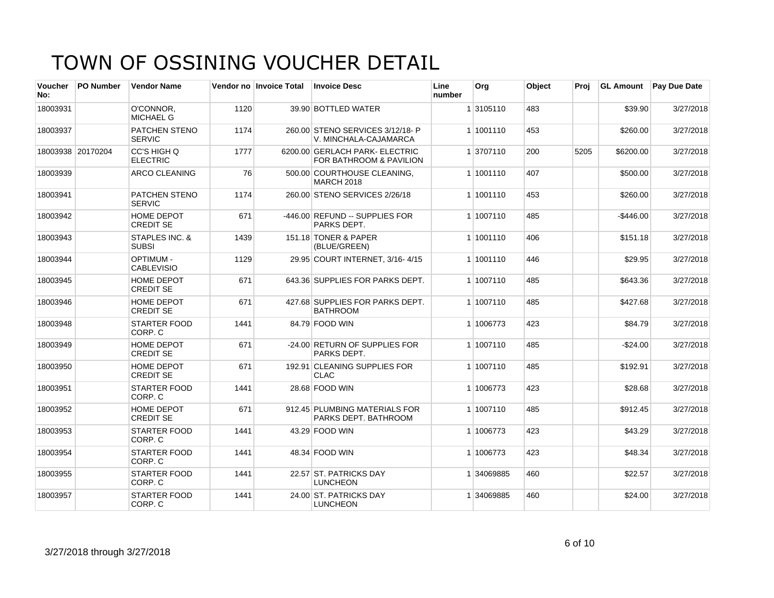| Voucher<br>No: | <b>PO Number</b>  | <b>Vendor Name</b>                    |      | Vendor no Invoice Total | <b>Invoice Desc</b>                                       | Line<br>number | Org        | Object | Proi | <b>GL Amount</b> | Pay Due Date |
|----------------|-------------------|---------------------------------------|------|-------------------------|-----------------------------------------------------------|----------------|------------|--------|------|------------------|--------------|
| 18003931       |                   | O'CONNOR.<br>MICHAEL G                | 1120 |                         | 39.90 BOTTLED WATER                                       |                | 1 3105110  | 483    |      | \$39.90          | 3/27/2018    |
| 18003937       |                   | <b>PATCHEN STENO</b><br><b>SERVIC</b> | 1174 |                         | 260.00 STENO SERVICES 3/12/18- P<br>V. MINCHALA-CAJAMARCA |                | 1 1001110  | 453    |      | \$260.00         | 3/27/2018    |
|                | 18003938 20170204 | CC'S HIGH Q<br><b>ELECTRIC</b>        | 1777 |                         | 6200.00 GERLACH PARK- ELECTRIC<br>FOR BATHROOM & PAVILION |                | 1 3707110  | 200    | 5205 | \$6200.00        | 3/27/2018    |
| 18003939       |                   | <b>ARCO CLEANING</b>                  | 76   |                         | 500.00 COURTHOUSE CLEANING,<br><b>MARCH 2018</b>          |                | 1 1001110  | 407    |      | \$500.00         | 3/27/2018    |
| 18003941       |                   | <b>PATCHEN STENO</b><br><b>SERVIC</b> | 1174 |                         | 260.00 STENO SERVICES 2/26/18                             |                | 1 1001110  | 453    |      | \$260.00         | 3/27/2018    |
| 18003942       |                   | <b>HOME DEPOT</b><br><b>CREDIT SE</b> | 671  |                         | -446.00 REFUND -- SUPPLIES FOR<br>PARKS DEPT.             |                | 1 1007110  | 485    |      | $-$ \$446.00     | 3/27/2018    |
| 18003943       |                   | STAPLES INC. &<br><b>SUBSI</b>        | 1439 |                         | 151.18 TONER & PAPER<br>(BLUE/GREEN)                      |                | 1 1001110  | 406    |      | \$151.18         | 3/27/2018    |
| 18003944       |                   | <b>OPTIMUM -</b><br><b>CABLEVISIO</b> | 1129 |                         | 29.95 COURT INTERNET, 3/16-4/15                           |                | 1 1001110  | 446    |      | \$29.95          | 3/27/2018    |
| 18003945       |                   | <b>HOME DEPOT</b><br><b>CREDIT SE</b> | 671  |                         | 643.36 SUPPLIES FOR PARKS DEPT.                           |                | 1 1007110  | 485    |      | \$643.36         | 3/27/2018    |
| 18003946       |                   | HOME DEPOT<br><b>CREDIT SE</b>        | 671  |                         | 427.68 SUPPLIES FOR PARKS DEPT.<br><b>BATHROOM</b>        |                | 1 1007110  | 485    |      | \$427.68         | 3/27/2018    |
| 18003948       |                   | <b>STARTER FOOD</b><br>CORP. C        | 1441 |                         | 84.79 FOOD WIN                                            |                | 1 1006773  | 423    |      | \$84.79          | 3/27/2018    |
| 18003949       |                   | <b>HOME DEPOT</b><br><b>CREDIT SE</b> | 671  |                         | -24.00 RETURN OF SUPPLIES FOR<br>PARKS DEPT.              |                | 1 1007110  | 485    |      | $-$24.00$        | 3/27/2018    |
| 18003950       |                   | HOME DEPOT<br><b>CREDIT SE</b>        | 671  |                         | 192.91 CLEANING SUPPLIES FOR<br>CLAC                      |                | 1 1007110  | 485    |      | \$192.91         | 3/27/2018    |
| 18003951       |                   | <b>STARTER FOOD</b><br>CORP. C        | 1441 |                         | 28.68 FOOD WIN                                            |                | 1 1006773  | 423    |      | \$28.68          | 3/27/2018    |
| 18003952       |                   | HOME DEPOT<br><b>CREDIT SE</b>        | 671  |                         | 912.45 PLUMBING MATERIALS FOR<br>PARKS DEPT. BATHROOM     |                | 1 1007110  | 485    |      | \$912.45         | 3/27/2018    |
| 18003953       |                   | <b>STARTER FOOD</b><br>CORP. C        | 1441 |                         | 43.29 FOOD WIN                                            |                | 1 1006773  | 423    |      | \$43.29          | 3/27/2018    |
| 18003954       |                   | <b>STARTER FOOD</b><br>CORP. C        | 1441 |                         | 48.34 FOOD WIN                                            |                | 1 1006773  | 423    |      | \$48.34          | 3/27/2018    |
| 18003955       |                   | <b>STARTER FOOD</b><br>CORP. C        | 1441 |                         | 22.57 ST. PATRICKS DAY<br><b>LUNCHEON</b>                 |                | 1 34069885 | 460    |      | \$22.57          | 3/27/2018    |
| 18003957       |                   | <b>STARTER FOOD</b><br>CORP. C        | 1441 |                         | 24.00 ST. PATRICKS DAY<br><b>LUNCHEON</b>                 |                | 1 34069885 | 460    |      | \$24.00          | 3/27/2018    |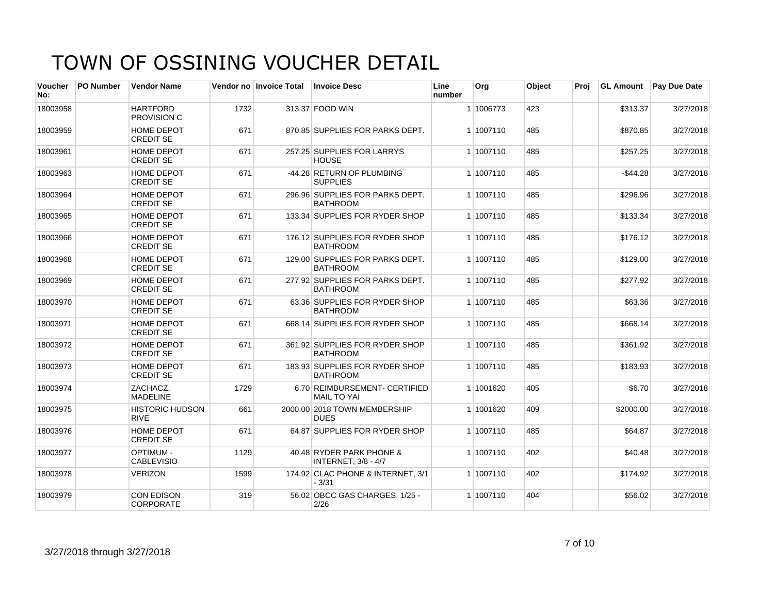| <b>Voucher</b><br>No: | <b>PO Number</b> | <b>Vendor Name</b>                    |      | Vendor no Invoice Total | <b>Invoice Desc</b>                                    | Line<br>number | Org       | Object | Proi |             | <b>GL Amount</b> Pay Due Date |
|-----------------------|------------------|---------------------------------------|------|-------------------------|--------------------------------------------------------|----------------|-----------|--------|------|-------------|-------------------------------|
| 18003958              |                  | <b>HARTFORD</b><br>PROVISION C        | 1732 |                         | 313.37 FOOD WIN                                        |                | 1 1006773 | 423    |      | \$313.37    | 3/27/2018                     |
| 18003959              |                  | <b>HOME DEPOT</b><br><b>CREDIT SE</b> | 671  |                         | 870.85 SUPPLIES FOR PARKS DEPT.                        |                | 1 1007110 | 485    |      | \$870.85    | 3/27/2018                     |
| 18003961              |                  | <b>HOME DEPOT</b><br><b>CREDIT SE</b> | 671  |                         | 257.25 SUPPLIES FOR LARRYS<br><b>HOUSE</b>             |                | 1 1007110 | 485    |      | \$257.25    | 3/27/2018                     |
| 18003963              |                  | <b>HOME DEPOT</b><br><b>CREDIT SE</b> | 671  |                         | -44.28 RETURN OF PLUMBING<br><b>SUPPLIES</b>           |                | 1 1007110 | 485    |      | $-$ \$44.28 | 3/27/2018                     |
| 18003964              |                  | HOME DEPOT<br><b>CREDIT SE</b>        | 671  |                         | 296.96 SUPPLIES FOR PARKS DEPT.<br><b>BATHROOM</b>     |                | 1 1007110 | 485    |      | \$296.96    | 3/27/2018                     |
| 18003965              |                  | <b>HOME DEPOT</b><br><b>CREDIT SE</b> | 671  |                         | 133.34 SUPPLIES FOR RYDER SHOP                         |                | 1 1007110 | 485    |      | \$133.34    | 3/27/2018                     |
| 18003966              |                  | <b>HOME DEPOT</b><br><b>CREDIT SE</b> | 671  |                         | 176.12 SUPPLIES FOR RYDER SHOP<br><b>BATHROOM</b>      |                | 1 1007110 | 485    |      | \$176.12    | 3/27/2018                     |
| 18003968              |                  | <b>HOME DEPOT</b><br><b>CREDIT SE</b> | 671  |                         | 129.00 SUPPLIES FOR PARKS DEPT.<br><b>BATHROOM</b>     |                | 1 1007110 | 485    |      | \$129.00    | 3/27/2018                     |
| 18003969              |                  | HOME DEPOT<br><b>CREDIT SE</b>        | 671  |                         | 277.92 SUPPLIES FOR PARKS DEPT.<br><b>BATHROOM</b>     |                | 1 1007110 | 485    |      | \$277.92    | 3/27/2018                     |
| 18003970              |                  | HOME DEPOT<br><b>CREDIT SE</b>        | 671  |                         | 63.36 SUPPLIES FOR RYDER SHOP<br><b>BATHROOM</b>       |                | 1 1007110 | 485    |      | \$63.36     | 3/27/2018                     |
| 18003971              |                  | HOME DEPOT<br><b>CREDIT SE</b>        | 671  |                         | 668.14 SUPPLIES FOR RYDER SHOP                         |                | 1 1007110 | 485    |      | \$668.14    | 3/27/2018                     |
| 18003972              |                  | <b>HOME DEPOT</b><br><b>CREDIT SE</b> | 671  |                         | 361.92 SUPPLIES FOR RYDER SHOP<br><b>BATHROOM</b>      |                | 1 1007110 | 485    |      | \$361.92    | 3/27/2018                     |
| 18003973              |                  | HOME DEPOT<br><b>CREDIT SE</b>        | 671  |                         | 183.93 SUPPLIES FOR RYDER SHOP<br><b>BATHROOM</b>      |                | 1 1007110 | 485    |      | \$183.93    | 3/27/2018                     |
| 18003974              |                  | ZACHACZ,<br><b>MADELINE</b>           | 1729 |                         | 6.70 REIMBURSEMENT- CERTIFIED<br><b>MAIL TO YAI</b>    |                | 1 1001620 | 405    |      | \$6.70      | 3/27/2018                     |
| 18003975              |                  | <b>HISTORIC HUDSON</b><br><b>RIVE</b> | 661  |                         | 2000.00 2018 TOWN MEMBERSHIP<br><b>DUES</b>            |                | 1 1001620 | 409    |      | \$2000.00   | 3/27/2018                     |
| 18003976              |                  | <b>HOME DEPOT</b><br><b>CREDIT SE</b> | 671  |                         | 64.87 SUPPLIES FOR RYDER SHOP                          |                | 1 1007110 | 485    |      | \$64.87     | 3/27/2018                     |
| 18003977              |                  | <b>OPTIMUM -</b><br><b>CABLEVISIO</b> | 1129 |                         | 40.48 RYDER PARK PHONE &<br><b>INTERNET, 3/8 - 4/7</b> |                | 1 1007110 | 402    |      | \$40.48     | 3/27/2018                     |
| 18003978              |                  | <b>VERIZON</b>                        | 1599 |                         | 174.92 CLAC PHONE & INTERNET, 3/1<br>$-3/31$           |                | 1 1007110 | 402    |      | \$174.92    | 3/27/2018                     |
| 18003979              |                  | <b>CON EDISON</b><br><b>CORPORATE</b> | 319  |                         | 56.02 OBCC GAS CHARGES, 1/25 -<br>2/26                 |                | 1 1007110 | 404    |      | \$56.02     | 3/27/2018                     |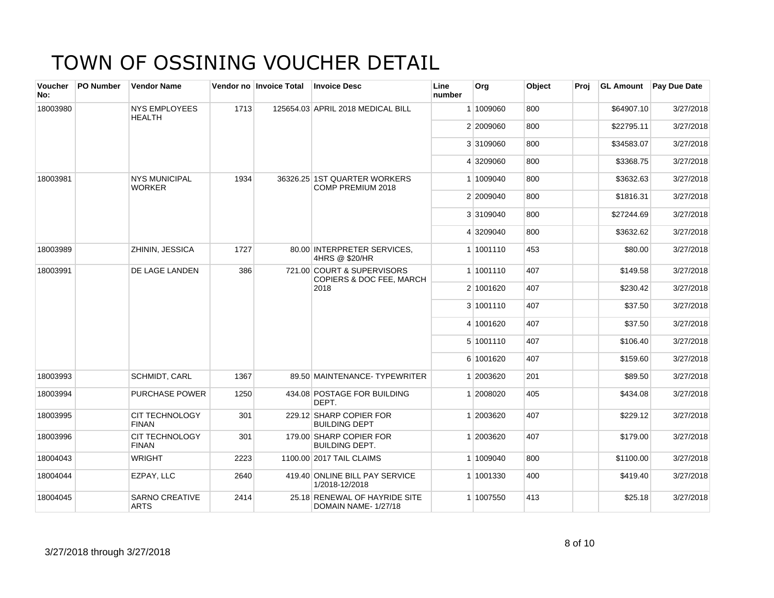| <b>Voucher</b><br>No: | <b>PO Number</b> | <b>Vendor Name</b>                    |      | Vendor no Invoice Total | <b>Invoice Desc</b>                                    | Line<br>number | Org       | Object   | Proi      | <b>GL Amount</b> | <b>Pay Due Date</b> |
|-----------------------|------------------|---------------------------------------|------|-------------------------|--------------------------------------------------------|----------------|-----------|----------|-----------|------------------|---------------------|
| 18003980              |                  | <b>NYS EMPLOYEES</b><br><b>HEALTH</b> | 1713 |                         | 125654.03 APRIL 2018 MEDICAL BILL                      |                | 1 1009060 | 800      |           | \$64907.10       | 3/27/2018           |
|                       |                  |                                       |      |                         |                                                        |                | 2 2009060 | 800      |           | \$22795.11       | 3/27/2018           |
|                       |                  |                                       |      |                         |                                                        |                | 3 3109060 | 800      |           | \$34583.07       | 3/27/2018           |
|                       |                  |                                       |      |                         |                                                        |                | 4 3209060 | 800      |           | \$3368.75        | 3/27/2018           |
| 18003981              |                  | <b>NYS MUNICIPAL</b><br><b>WORKER</b> | 1934 |                         | 36326.25 1ST QUARTER WORKERS<br>COMP PREMIUM 2018      |                | 1 1009040 | 800      |           | \$3632.63        | 3/27/2018           |
|                       |                  |                                       |      |                         |                                                        |                | 2 2009040 | 800      |           | \$1816.31        | 3/27/2018           |
|                       |                  |                                       |      |                         |                                                        |                | 3 3109040 | 800      |           | \$27244.69       | 3/27/2018           |
|                       |                  |                                       |      |                         |                                                        |                | 4 3209040 | 800      |           | \$3632.62        | 3/27/2018           |
| 18003989              |                  | <b>ZHININ, JESSICA</b>                | 1727 |                         | 80.00 INTERPRETER SERVICES.<br>4HRS @ \$20/HR          |                | 1 1001110 | 453      |           | \$80.00          | 3/27/2018           |
| 18003991              |                  | DE LAGE LANDEN                        | 386  |                         | 721.00 COURT & SUPERVISORS<br>COPIERS & DOC FEE, MARCH |                | 1 1001110 | 407      |           | \$149.58         | 3/27/2018           |
|                       |                  |                                       | 2018 |                         | 2 1001620                                              | 407            |           | \$230.42 | 3/27/2018 |                  |                     |
|                       |                  |                                       |      |                         |                                                        |                | 3 1001110 | 407      |           | \$37.50          | 3/27/2018           |
|                       |                  |                                       |      |                         |                                                        |                | 4 1001620 | 407      |           | \$37.50          | 3/27/2018           |
|                       |                  |                                       |      |                         |                                                        |                | 5 1001110 | 407      |           | \$106.40         | 3/27/2018           |
|                       |                  |                                       |      |                         |                                                        |                | 6 1001620 | 407      |           | \$159.60         | 3/27/2018           |
| 18003993              |                  | <b>SCHMIDT, CARL</b>                  | 1367 |                         | 89.50 MAINTENANCE- TYPEWRITER                          |                | 1 2003620 | 201      |           | \$89.50          | 3/27/2018           |
| 18003994              |                  | <b>PURCHASE POWER</b>                 | 1250 |                         | 434.08 POSTAGE FOR BUILDING<br>DEPT.                   |                | 1 2008020 | 405      |           | \$434.08         | 3/27/2018           |
| 18003995              |                  | <b>CIT TECHNOLOGY</b><br><b>FINAN</b> | 301  |                         | 229.12 SHARP COPIER FOR<br><b>BUILDING DEPT</b>        |                | 1 2003620 | 407      |           | \$229.12         | 3/27/2018           |
| 18003996              |                  | <b>CIT TECHNOLOGY</b><br><b>FINAN</b> | 301  |                         | 179.00 SHARP COPIER FOR<br><b>BUILDING DEPT.</b>       |                | 1 2003620 | 407      |           | \$179.00         | 3/27/2018           |
| 18004043              |                  | <b>WRIGHT</b>                         | 2223 |                         | 1100.00 2017 TAIL CLAIMS                               |                | 1 1009040 | 800      |           | \$1100.00        | 3/27/2018           |
| 18004044              |                  | EZPAY, LLC                            | 2640 |                         | 419.40 ONLINE BILL PAY SERVICE<br>1/2018-12/2018       |                | 1 1001330 | 400      |           | \$419.40         | 3/27/2018           |
| 18004045              |                  | <b>SARNO CREATIVE</b><br><b>ARTS</b>  | 2414 |                         | 25.18 RENEWAL OF HAYRIDE SITE<br>DOMAIN NAME-1/27/18   |                | 1 1007550 | 413      |           | \$25.18          | 3/27/2018           |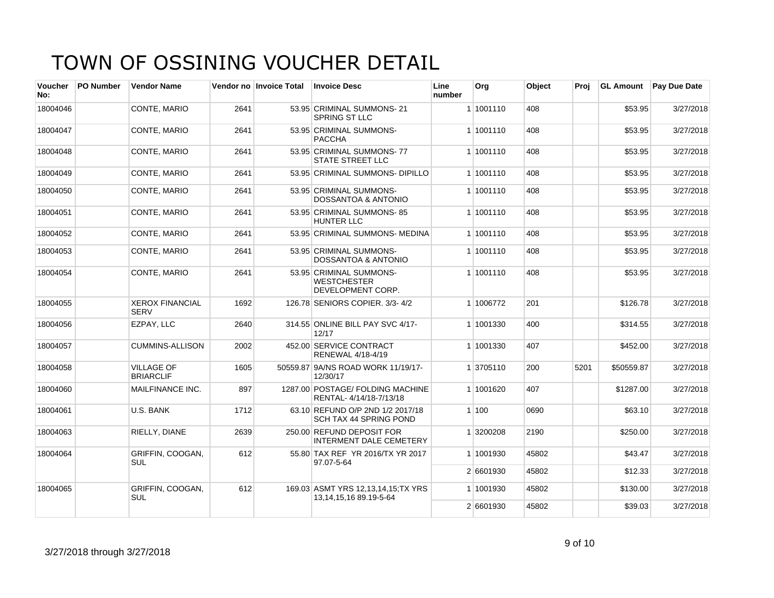| Voucher<br>No: | <b>PO Number</b> | <b>Vendor Name</b>                    |      | Vendor no Invoice Total | <b>Invoice Desc</b>                                                  | Line<br>number | <b>Org</b> | Object | Proi | <b>GL Amount</b> | <b>Pay Due Date</b> |
|----------------|------------------|---------------------------------------|------|-------------------------|----------------------------------------------------------------------|----------------|------------|--------|------|------------------|---------------------|
| 18004046       |                  | <b>CONTE, MARIO</b>                   | 2641 |                         | 53.95 CRIMINAL SUMMONS-21<br><b>SPRING ST LLC</b>                    |                | 1 1001110  | 408    |      | \$53.95          | 3/27/2018           |
| 18004047       |                  | CONTE, MARIO                          | 2641 |                         | 53.95 CRIMINAL SUMMONS-<br><b>PACCHA</b>                             |                | 1 1001110  | 408    |      | \$53.95          | 3/27/2018           |
| 18004048       |                  | CONTE, MARIO                          | 2641 |                         | 53.95 CRIMINAL SUMMONS-77<br><b>STATE STREET LLC</b>                 |                | 1 1001110  | 408    |      | \$53.95          | 3/27/2018           |
| 18004049       |                  | CONTE, MARIO                          | 2641 |                         | 53.95 CRIMINAL SUMMONS-DIPILLO                                       |                | 1 1001110  | 408    |      | \$53.95          | 3/27/2018           |
| 18004050       |                  | <b>CONTE, MARIO</b>                   | 2641 |                         | 53.95 CRIMINAL SUMMONS-<br><b>DOSSANTOA &amp; ANTONIO</b>            |                | 1 1001110  | 408    |      | \$53.95          | 3/27/2018           |
| 18004051       |                  | CONTE, MARIO                          | 2641 |                         | 53.95 CRIMINAL SUMMONS-85<br><b>HUNTER LLC</b>                       |                | 1 1001110  | 408    |      | \$53.95          | 3/27/2018           |
| 18004052       |                  | CONTE, MARIO                          | 2641 |                         | 53.95 CRIMINAL SUMMONS- MEDINA                                       |                | 1 1001110  | 408    |      | \$53.95          | 3/27/2018           |
| 18004053       |                  | CONTE, MARIO                          | 2641 |                         | 53.95 CRIMINAL SUMMONS-<br><b>DOSSANTOA &amp; ANTONIO</b>            |                | 1 1001110  | 408    |      | \$53.95          | 3/27/2018           |
| 18004054       |                  | CONTE, MARIO                          | 2641 |                         | 53.95 CRIMINAL SUMMONS-<br><b>WESTCHESTER</b><br>DEVELOPMENT CORP.   |                | 1 1001110  | 408    |      | \$53.95          | 3/27/2018           |
| 18004055       |                  | <b>XEROX FINANCIAL</b><br><b>SERV</b> | 1692 |                         | 126.78 SENIORS COPIER. 3/3-4/2                                       |                | 1 1006772  | 201    |      | \$126.78         | 3/27/2018           |
| 18004056       |                  | EZPAY, LLC                            | 2640 |                         | 314.55 ONLINE BILL PAY SVC 4/17-<br>12/17                            |                | 1 1001330  | 400    |      | \$314.55         | 3/27/2018           |
| 18004057       |                  | <b>CUMMINS-ALLISON</b>                | 2002 |                         | 452.00 SERVICE CONTRACT<br>RENEWAL 4/18-4/19                         |                | 1 1001330  | 407    |      | \$452.00         | 3/27/2018           |
| 18004058       |                  | <b>VILLAGE OF</b><br><b>BRIARCLIF</b> | 1605 |                         | 50559.87 9A/NS ROAD WORK 11/19/17-<br>12/30/17                       |                | 1 3705110  | 200    | 5201 | \$50559.87       | 3/27/2018           |
| 18004060       |                  | MAILFINANCE INC.                      | 897  |                         | 1287.00 POSTAGE/ FOLDING MACHINE<br>RENTAL-4/14/18-7/13/18           |                | 1 1001620  | 407    |      | \$1287.00        | 3/27/2018           |
| 18004061       |                  | U.S. BANK                             | 1712 |                         | 63.10 REFUND O/P 2ND 1/2 2017/18<br>SCH TAX 44 SPRING POND           |                | 1 100      | 0690   |      | \$63.10          | 3/27/2018           |
| 18004063       |                  | RIELLY, DIANE                         | 2639 |                         | 250.00 REFUND DEPOSIT FOR<br><b>INTERMENT DALE CEMETERY</b>          |                | 1 3200208  | 2190   |      | \$250.00         | 3/27/2018           |
| 18004064       |                  | GRIFFIN, COOGAN,<br><b>SUL</b>        | 612  |                         | 55.80 TAX REF YR 2016/TX YR 2017<br>97.07-5-64                       |                | 1 1001930  | 45802  |      | \$43.47          | 3/27/2018           |
|                |                  |                                       |      |                         |                                                                      |                | 2 6601930  | 45802  |      | \$12.33          | 3/27/2018           |
| 18004065       |                  | GRIFFIN, COOGAN,<br><b>SUL</b>        | 612  |                         | 169.03 ASMT YRS 12,13,14,15;TX YRS<br>13, 14, 15, 16 89. 19 - 5 - 64 |                | 1 1001930  | 45802  |      | \$130.00         | 3/27/2018           |
|                |                  |                                       |      |                         |                                                                      |                | 2 6601930  | 45802  |      | \$39.03          | 3/27/2018           |